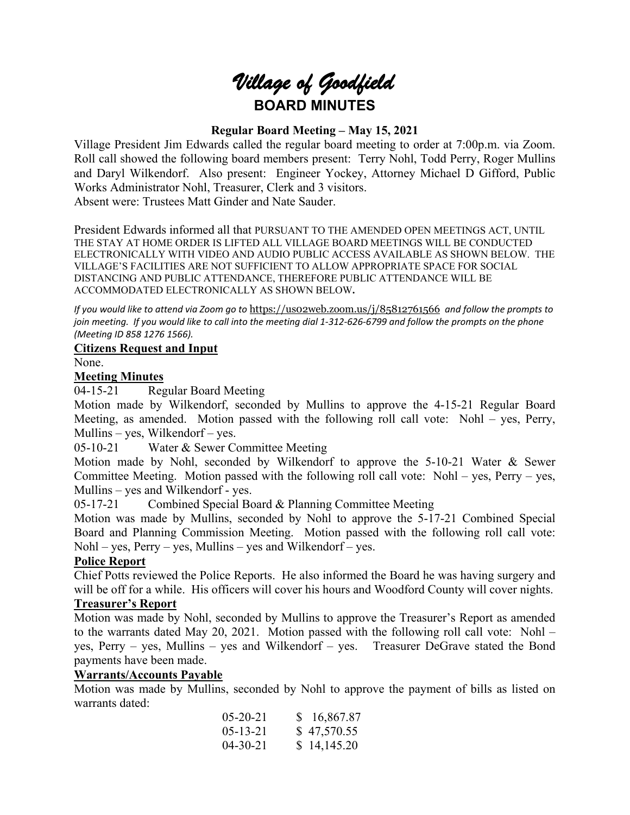# *Village of Goodfield* **BOARD MINUTES**

#### **Regular Board Meeting – May 15, 2021**

Village President Jim Edwards called the regular board meeting to order at 7:00p.m. via Zoom. Roll call showed the following board members present: Terry Nohl, Todd Perry, Roger Mullins and Daryl Wilkendorf. Also present: Engineer Yockey, Attorney Michael D Gifford, Public Works Administrator Nohl, Treasurer, Clerk and 3 visitors. Absent were: Trustees Matt Ginder and Nate Sauder.

President Edwards informed all that PURSUANT TO THE AMENDED OPEN MEETINGS ACT, UNTIL THE STAY AT HOME ORDER IS LIFTED ALL VILLAGE BOARD MEETINGS WILL BE CONDUCTED ELECTRONICALLY WITH VIDEO AND AUDIO PUBLIC ACCESS AVAILABLE AS SHOWN BELOW. THE VILLAGE'S FACILITIES ARE NOT SUFFICIENT TO ALLOW APPROPRIATE SPACE FOR SOCIAL DISTANCING AND PUBLIC ATTENDANCE, THEREFORE PUBLIC ATTENDANCE WILL BE ACCOMMODATED ELECTRONICALLY AS SHOWN BELOW**.**

*If you would like to attend via Zoom go to* <https://us02web.zoom.us/j/85812761566> *and follow the prompts to join meeting. If you would like to call into the meeting dial 1-312-626-6799 and follow the prompts on the phone (Meeting ID 858 1276 1566).*

#### **Citizens Request and Input**

None.

#### **Meeting Minutes**

04-15-21 Regular Board Meeting

Motion made by Wilkendorf, seconded by Mullins to approve the 4-15-21 Regular Board Meeting, as amended. Motion passed with the following roll call vote: Nohl – yes, Perry, Mullins – yes, Wilkendorf – yes.

05-10-21 Water & Sewer Committee Meeting

Motion made by Nohl, seconded by Wilkendorf to approve the 5-10-21 Water & Sewer Committee Meeting. Motion passed with the following roll call vote: Nohl – yes, Perry – yes, Mullins – yes and Wilkendorf - yes.

05-17-21 Combined Special Board & Planning Committee Meeting

Motion was made by Mullins, seconded by Nohl to approve the 5-17-21 Combined Special Board and Planning Commission Meeting. Motion passed with the following roll call vote:  $Nohl - yes$ ,  $Perry - yes$ , Mullins – yes and Wilkendorf – yes.

#### **Police Report**

Chief Potts reviewed the Police Reports. He also informed the Board he was having surgery and will be off for a while. His officers will cover his hours and Woodford County will cover nights.

#### **Treasurer's Report**

Motion was made by Nohl, seconded by Mullins to approve the Treasurer's Report as amended to the warrants dated May 20, 2021. Motion passed with the following roll call vote: Nohl – yes, Perry – yes, Mullins – yes and Wilkendorf – yes. Treasurer DeGrave stated the Bond payments have been made.

#### **Warrants/Accounts Payable**

Motion was made by Mullins, seconded by Nohl to approve the payment of bills as listed on warrants dated:

| $05 - 20 - 21$ | \$16,867.87 |
|----------------|-------------|
| $05 - 13 - 21$ | \$47,570.55 |
| $04 - 30 - 21$ | \$14,145.20 |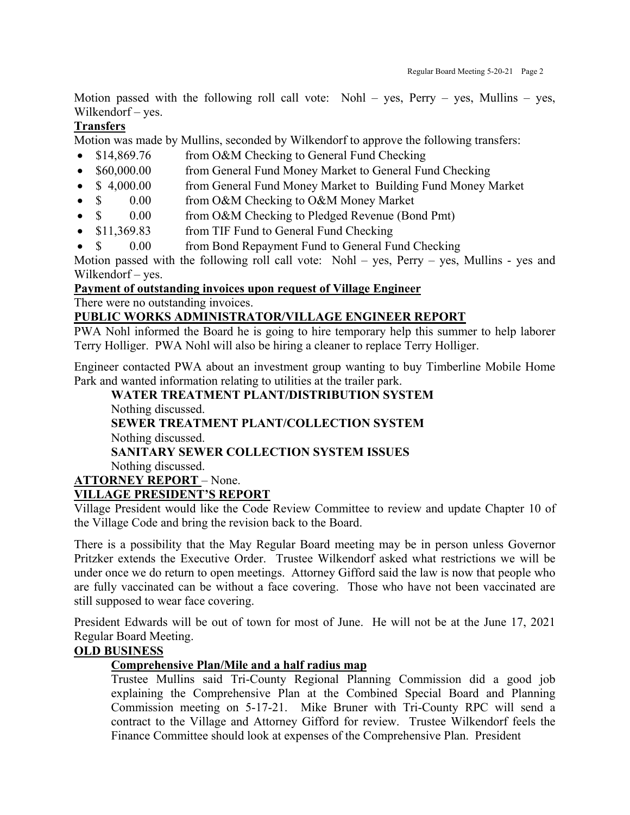Motion passed with the following roll call vote: Nohl – yes, Perry – yes, Mullins – yes, Wilkendorf – yes.

## **Transfers**

Motion was made by Mullins, seconded by Wilkendorf to approve the following transfers:

- \$14,869.76 from O&M Checking to General Fund Checking
- \$60,000.00 from General Fund Money Market to General Fund Checking
- \$ 4,000.00 from General Fund Money Market to Building Fund Money Market
- \$ 0.00 from O&M Checking to O&M Money Market
- $\sin 0.00$  from O&M Checking to Pledged Revenue (Bond Pmt)
- \$11,369.83 from TIF Fund to General Fund Checking
- \$ 0.00 from Bond Repayment Fund to General Fund Checking

Motion passed with the following roll call vote: Nohl – yes, Perry – yes, Mullins - yes and Wilkendorf – yes.

#### **Payment of outstanding invoices upon request of Village Engineer**

There were no outstanding invoices.

#### **PUBLIC WORKS ADMINISTRATOR/VILLAGE ENGINEER REPORT**

PWA Nohl informed the Board he is going to hire temporary help this summer to help laborer Terry Holliger. PWA Nohl will also be hiring a cleaner to replace Terry Holliger.

Engineer contacted PWA about an investment group wanting to buy Timberline Mobile Home Park and wanted information relating to utilities at the trailer park.

**WATER TREATMENT PLANT/DISTRIBUTION SYSTEM** Nothing discussed. **SEWER TREATMENT PLANT/COLLECTION SYSTEM** Nothing discussed. **SANITARY SEWER COLLECTION SYSTEM ISSUES** Nothing discussed. **ATTORNEY REPORT** – None. **VILLAGE PRESIDENT'S REPORT**

Village President would like the Code Review Committee to review and update Chapter 10 of the Village Code and bring the revision back to the Board.

There is a possibility that the May Regular Board meeting may be in person unless Governor Pritzker extends the Executive Order. Trustee Wilkendorf asked what restrictions we will be under once we do return to open meetings. Attorney Gifford said the law is now that people who are fully vaccinated can be without a face covering. Those who have not been vaccinated are still supposed to wear face covering.

President Edwards will be out of town for most of June. He will not be at the June 17, 2021 Regular Board Meeting.

### **OLD BUSINESS**

#### **Comprehensive Plan/Mile and a half radius map**

Trustee Mullins said Tri-County Regional Planning Commission did a good job explaining the Comprehensive Plan at the Combined Special Board and Planning Commission meeting on 5-17-21. Mike Bruner with Tri-County RPC will send a contract to the Village and Attorney Gifford for review. Trustee Wilkendorf feels the Finance Committee should look at expenses of the Comprehensive Plan. President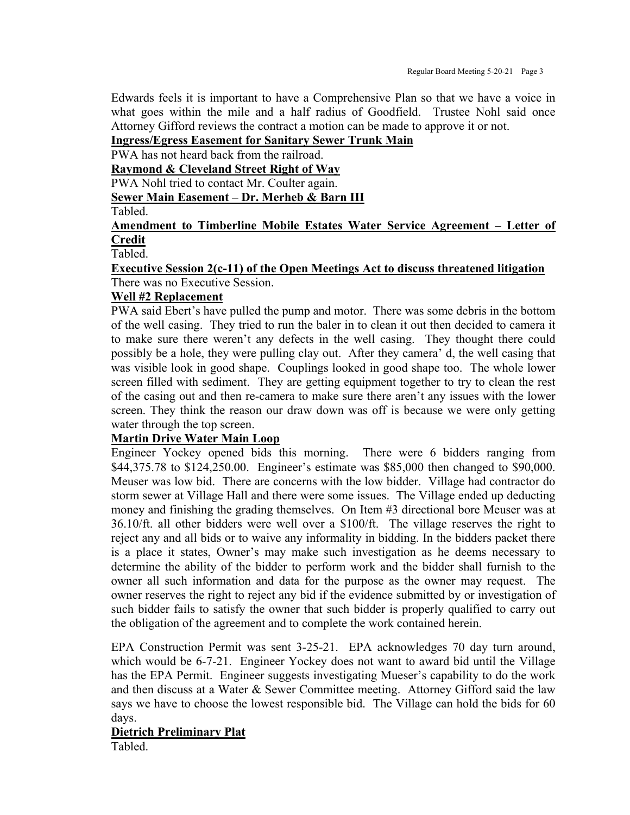Edwards feels it is important to have a Comprehensive Plan so that we have a voice in what goes within the mile and a half radius of Goodfield. Trustee Nohl said once Attorney Gifford reviews the contract a motion can be made to approve it or not.

#### **Ingress/Egress Easement for Sanitary Sewer Trunk Main**

PWA has not heard back from the railroad.

**Raymond & Cleveland Street Right of Way**

PWA Nohl tried to contact Mr. Coulter again.

**Sewer Main Easement – Dr. Merheb & Barn III**

Tabled.

#### **Amendment to Timberline Mobile Estates Water Service Agreement – Letter of Credit**

Tabled.

#### **Executive Session 2(c-11) of the Open Meetings Act to discuss threatened litigation** There was no Executive Session.

#### **Well #2 Replacement**

PWA said Ebert's have pulled the pump and motor. There was some debris in the bottom of the well casing. They tried to run the baler in to clean it out then decided to camera it to make sure there weren't any defects in the well casing. They thought there could possibly be a hole, they were pulling clay out. After they camera' d, the well casing that was visible look in good shape. Couplings looked in good shape too. The whole lower screen filled with sediment. They are getting equipment together to try to clean the rest of the casing out and then re-camera to make sure there aren't any issues with the lower screen. They think the reason our draw down was off is because we were only getting water through the top screen.

#### **Martin Drive Water Main Loop**

Engineer Yockey opened bids this morning. There were 6 bidders ranging from \$44,375.78 to \$124,250.00. Engineer's estimate was \$85,000 then changed to \$90,000. Meuser was low bid. There are concerns with the low bidder. Village had contractor do storm sewer at Village Hall and there were some issues. The Village ended up deducting money and finishing the grading themselves. On Item #3 directional bore Meuser was at 36.10/ft. all other bidders were well over a \$100/ft. The village reserves the right to reject any and all bids or to waive any informality in bidding. In the bidders packet there is a place it states, Owner's may make such investigation as he deems necessary to determine the ability of the bidder to perform work and the bidder shall furnish to the owner all such information and data for the purpose as the owner may request. The owner reserves the right to reject any bid if the evidence submitted by or investigation of such bidder fails to satisfy the owner that such bidder is properly qualified to carry out the obligation of the agreement and to complete the work contained herein.

EPA Construction Permit was sent 3-25-21. EPA acknowledges 70 day turn around, which would be 6-7-21. Engineer Yockey does not want to award bid until the Village has the EPA Permit. Engineer suggests investigating Mueser's capability to do the work and then discuss at a Water & Sewer Committee meeting. Attorney Gifford said the law says we have to choose the lowest responsible bid. The Village can hold the bids for 60 days.

# **Dietrich Preliminary Plat**

Tabled.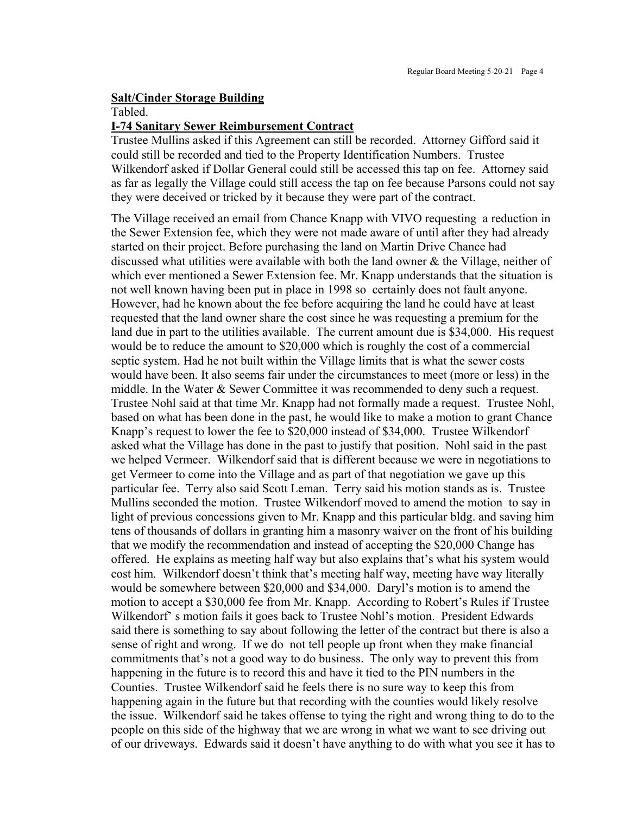#### **Salt/Cinder Storage Building**

Tabled.

#### **I-74 Sanitary Sewer Reimbursement Contract**

Trustee Mullins asked if this Agreement can still be recorded. Attorney Gifford said it could still be recorded and tied to the Property Identification Numbers. Trustee Wilkendorf asked if Dollar General could still be accessed this tap on fee. Attorney said as far as legally the Village could still access the tap on fee because Parsons could not say they were deceived or tricked by it because they were part of the contract.

The Village received an email from Chance Knapp with VIVO requesting a reduction in the Sewer Extension fee, which they were not made aware of until after they had already started on their project. Before purchasing the land on Martin Drive Chance had discussed what utilities were available with both the land owner & the Village, neither of which ever mentioned a Sewer Extension fee. Mr. Knapp understands that the situation is not well known having been put in place in 1998 so certainly does not fault anyone. However, had he known about the fee before acquiring the land he could have at least requested that the land owner share the cost since he was requesting a premium for the land due in part to the utilities available. The current amount due is \$34,000. His request would be to reduce the amount to \$20,000 which is roughly the cost of a commercial septic system. Had he not built within the Village limits that is what the sewer costs would have been. It also seems fair under the circumstances to meet (more or less) in the middle. In the Water & Sewer Committee it was recommended to deny such a request. Trustee Nohl said at that time Mr. Knapp had not formally made a request. Trustee Nohl, based on what has been done in the past, he would like to make a motion to grant Chance Knapp's request to lower the fee to \$20,000 instead of \$34,000. Trustee Wilkendorf asked what the Village has done in the past to justify that position. Nohl said in the past we helped Vermeer. Wilkendorf said that is different because we were in negotiations to get Vermeer to come into the Village and as part of that negotiation we gave up this particular fee. Terry also said Scott Leman. Terry said his motion stands as is. Trustee Mullins seconded the motion. Trustee Wilkendorf moved to amend the motion to say in light of previous concessions given to Mr. Knapp and this particular bldg. and saving him tens of thousands of dollars in granting him a masonry waiver on the front of his building that we modify the recommendation and instead of accepting the \$20,000 Change has offered. He explains as meeting half way but also explains that's what his system would cost him. Wilkendorf doesn't think that's meeting half way, meeting have way literally would be somewhere between \$20,000 and \$34,000. Daryl's motion is to amend the motion to accept a \$30,000 fee from Mr. Knapp. According to Robert's Rules if Trustee Wilkendorf' s motion fails it goes back to Trustee Nohl's motion. President Edwards said there is something to say about following the letter of the contract but there is also a sense of right and wrong. If we do not tell people up front when they make financial commitments that's not a good way to do business. The only way to prevent this from happening in the future is to record this and have it tied to the PIN numbers in the Counties. Trustee Wilkendorf said he feels there is no sure way to keep this from happening again in the future but that recording with the counties would likely resolve the issue. Wilkendorf said he takes offense to tying the right and wrong thing to do to the people on this side of the highway that we are wrong in what we want to see driving out of our driveways. Edwards said it doesn't have anything to do with what you see it has to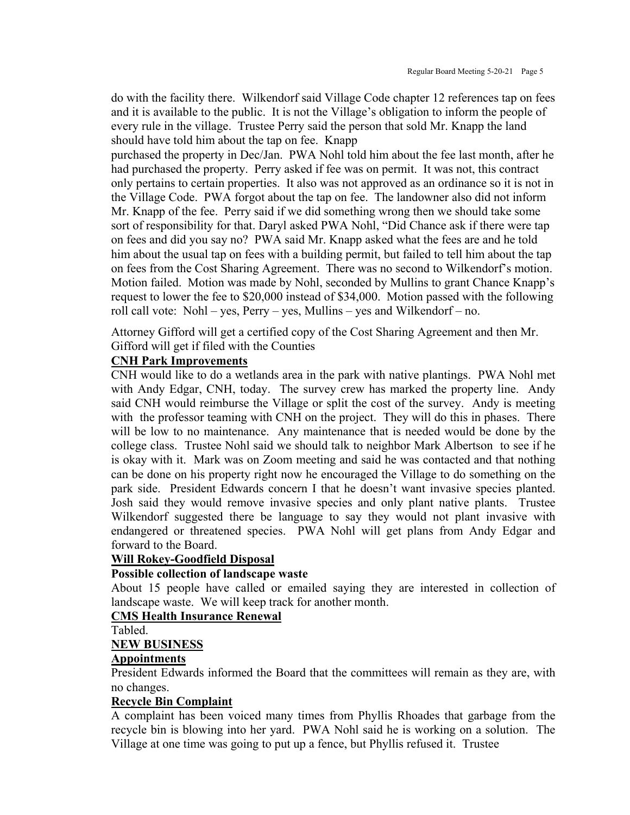do with the facility there. Wilkendorf said Village Code chapter 12 references tap on fees and it is available to the public. It is not the Village's obligation to inform the people of every rule in the village. Trustee Perry said the person that sold Mr. Knapp the land should have told him about the tap on fee. Knapp

purchased the property in Dec/Jan. PWA Nohl told him about the fee last month, after he had purchased the property. Perry asked if fee was on permit. It was not, this contract only pertains to certain properties. It also was not approved as an ordinance so it is not in the Village Code. PWA forgot about the tap on fee. The landowner also did not inform Mr. Knapp of the fee. Perry said if we did something wrong then we should take some sort of responsibility for that. Daryl asked PWA Nohl, "Did Chance ask if there were tap on fees and did you say no? PWA said Mr. Knapp asked what the fees are and he told him about the usual tap on fees with a building permit, but failed to tell him about the tap on fees from the Cost Sharing Agreement. There was no second to Wilkendorf's motion. Motion failed. Motion was made by Nohl, seconded by Mullins to grant Chance Knapp's request to lower the fee to \$20,000 instead of \$34,000. Motion passed with the following roll call vote: Nohl – yes, Perry – yes, Mullins – yes and Wilkendorf – no.

Attorney Gifford will get a certified copy of the Cost Sharing Agreement and then Mr. Gifford will get if filed with the Counties

#### **CNH Park Improvements**

CNH would like to do a wetlands area in the park with native plantings. PWA Nohl met with Andy Edgar, CNH, today. The survey crew has marked the property line. Andy said CNH would reimburse the Village or split the cost of the survey. Andy is meeting with the professor teaming with CNH on the project. They will do this in phases. There will be low to no maintenance. Any maintenance that is needed would be done by the college class. Trustee Nohl said we should talk to neighbor Mark Albertson to see if he is okay with it. Mark was on Zoom meeting and said he was contacted and that nothing can be done on his property right now he encouraged the Village to do something on the park side. President Edwards concern I that he doesn't want invasive species planted. Josh said they would remove invasive species and only plant native plants. Trustee Wilkendorf suggested there be language to say they would not plant invasive with endangered or threatened species. PWA Nohl will get plans from Andy Edgar and forward to the Board.

#### **Will Rokey-Goodfield Disposal**

#### **Possible collection of landscape waste**

About 15 people have called or emailed saying they are interested in collection of landscape waste. We will keep track for another month.

#### **CMS Health Insurance Renewal**

Tabled.

#### **NEW BUSINESS**

#### **Appointments**

President Edwards informed the Board that the committees will remain as they are, with no changes.

#### **Recycle Bin Complaint**

A complaint has been voiced many times from Phyllis Rhoades that garbage from the recycle bin is blowing into her yard. PWA Nohl said he is working on a solution. The Village at one time was going to put up a fence, but Phyllis refused it. Trustee